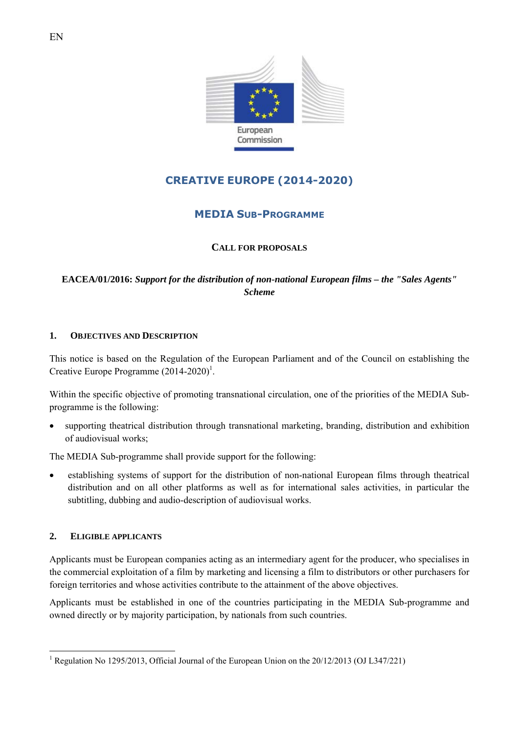

# **CREATIVE EUROPE (2014-2020)**

## **MEDIA SUB-PROGRAMME**

## **CALL FOR PROPOSALS**

**EACEA/01/2016:** *Support for the distribution of non-national European films – the "Sales Agents" Scheme* 

## **1. OBJECTIVES AND DESCRIPTION**

This notice is based on the Regulation of the European Parliament and of the Council on establishing the Creative Europe Programme  $(2014-2020)^1$ .

Within the specific objective of promoting transnational circulation, one of the priorities of the MEDIA Subprogramme is the following:

• supporting theatrical distribution through transnational marketing, branding, distribution and exhibition of audiovisual works;

The MEDIA Sub-programme shall provide support for the following:

• establishing systems of support for the distribution of non-national European films through theatrical distribution and on all other platforms as well as for international sales activities, in particular the subtitling, dubbing and audio-description of audiovisual works.

## **2. ELIGIBLE APPLICANTS**

 $\overline{a}$ 

Applicants must be European companies acting as an intermediary agent for the producer, who specialises in the commercial exploitation of a film by marketing and licensing a film to distributors or other purchasers for foreign territories and whose activities contribute to the attainment of the above objectives.

Applicants must be established in one of the countries participating in the MEDIA Sub-programme and owned directly or by majority participation, by nationals from such countries.

<sup>&</sup>lt;sup>1</sup> Regulation No 1295/2013, Official Journal of the European Union on the 20/12/2013 (OJ L347/221)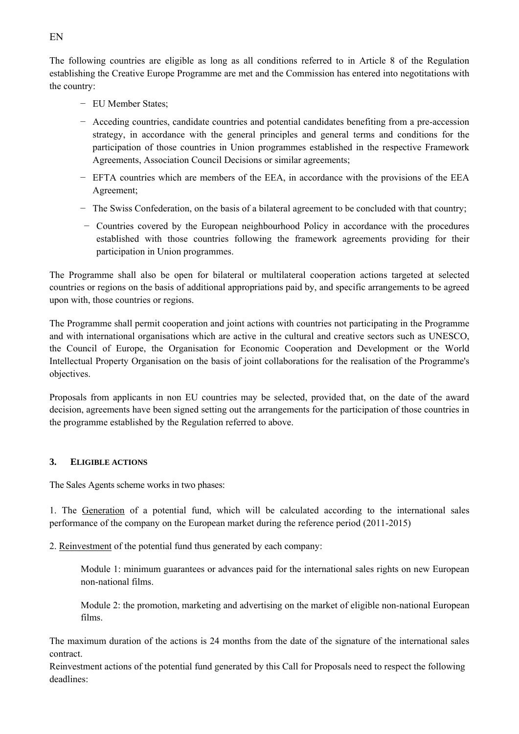The following countries are eligible as long as all conditions referred to in Article 8 of the Regulation establishing the Creative Europe Programme are met and the Commission has entered into negotitations with the country:

- − EU Member States;
- − Acceding countries, candidate countries and potential candidates benefiting from a pre-accession strategy, in accordance with the general principles and general terms and conditions for the participation of those countries in Union programmes established in the respective Framework Agreements, Association Council Decisions or similar agreements;
- − EFTA countries which are members of the EEA, in accordance with the provisions of the EEA Agreement;
- − The Swiss Confederation, on the basis of a bilateral agreement to be concluded with that country;
- − Countries covered by the European neighbourhood Policy in accordance with the procedures established with those countries following the framework agreements providing for their participation in Union programmes.

The Programme shall also be open for bilateral or multilateral cooperation actions targeted at selected countries or regions on the basis of additional appropriations paid by, and specific arrangements to be agreed upon with, those countries or regions.

The Programme shall permit cooperation and joint actions with countries not participating in the Programme and with international organisations which are active in the cultural and creative sectors such as UNESCO, the Council of Europe, the Organisation for Economic Cooperation and Development or the World Intellectual Property Organisation on the basis of joint collaborations for the realisation of the Programme's objectives.

Proposals from applicants in non EU countries may be selected, provided that, on the date of the award decision, agreements have been signed setting out the arrangements for the participation of those countries in the programme established by the Regulation referred to above.

#### **3. ELIGIBLE ACTIONS**

The Sales Agents scheme works in two phases:

1. The Generation of a potential fund, which will be calculated according to the international sales performance of the company on the European market during the reference period (2011-2015)

2. Reinvestment of the potential fund thus generated by each company:

 Module 1: minimum guarantees or advances paid for the international sales rights on new European non-national films.

 Module 2: the promotion, marketing and advertising on the market of eligible non-national European films.

The maximum duration of the actions is 24 months from the date of the signature of the international sales contract.

Reinvestment actions of the potential fund generated by this Call for Proposals need to respect the following deadlines: